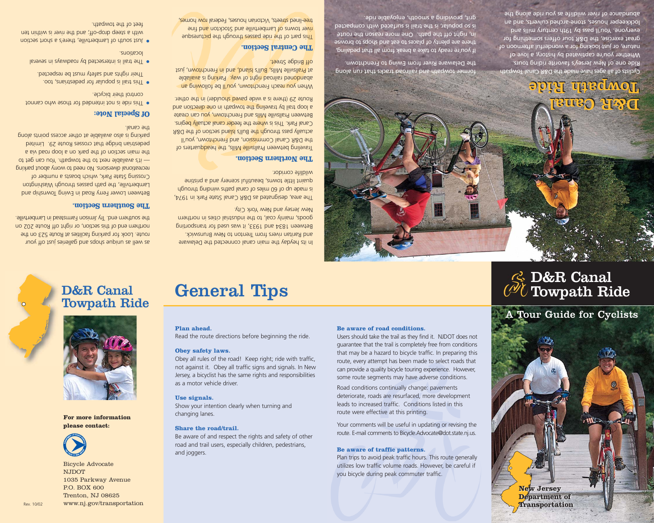## D&R Canal Towpath Ride

# General Tips

## D&R Canal Towpath Ride



**For more information please contact:**



Bicycle Advocate NJDOT 1035 Parkway Avenue P.O. BOX 600 Trenton, NJ 08625 Rev. 10/02 www.nj.gov/transportation

### **Plan ahead.**

Read the route directions before beginning the ride.

#### **Obey safety laws.**

Obey all rules of the road! Keep right; ride with traffic, not against it. Obey all traffic signs and signals. In New Jersey, a bicyclist has the same rights and responsibilities as a motor vehicle driver.

#### **Use signals.**

Show your intention clearly when turning and changing lanes.

### **Share the road/trail.**

Be aware of and respect the rights and safety of other road and trail users, especially children, pedestrians, and joggers.

#### **Be aware of road conditions.**

Users should take the trail as they find it. NJDOT does not guarantee that the trail is completely free from conditions that may be a hazard to bicycle traffic. In preparing this route, every attempt has been made to select roads that can provide a quality bicycle touring experience. However, some route segments may have adverse conditions.

Road conditions continually change: pavements deteriorate, roads are resurfaced, more development leads to increased traffic. Conditions listed in this route were effective at this printing.

Your comments will be useful in updating or revising the route. E-mail comments to Bicycle.Advocate@dot.state.nj.us.

### **Be aware of traffic patterns.**

Plan trips to avoid peak traffic hours. This route generally utilizes low traffic volume roads. However, be careful if you bicycle during peak commuter traffic.

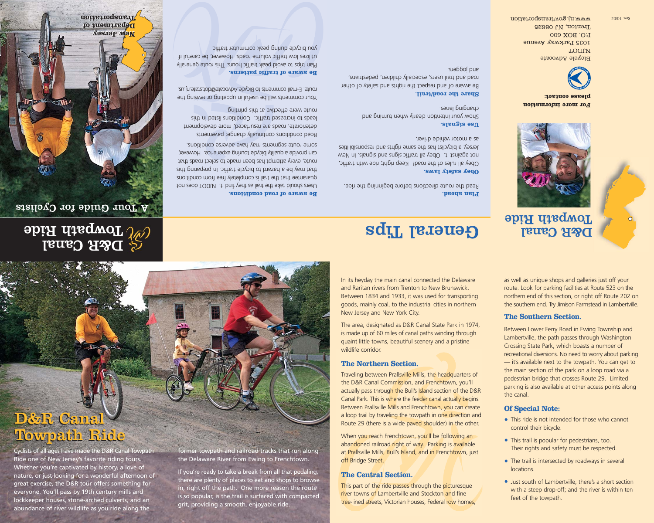## D&R Canal D&R Canal Towpath Ride Towpath Ride

Cyclists of all ages have made the D&R Canal Towpath Ride one of New Jersey's favorite riding tours. Whether you're captivated by history, a love of nature, or just looking for a wonderful afternoon of great exercise, the D&R tour offers something for everyone. You'll pass by 19th century mills and lockkeeper houses, stone-arched culverts, and an abundance of river wildlife as you ride along the

former towpath and railroad tracks that run along the Delaware River from Ewing to Frenchtown.

If you're ready to take a break from all that pedaling, there are plenty of places to eat and shops to browse in, right off the path. One more reason the route is so popular, is the trail is surfaced with compacted grit, providing a smooth, enjoyable ride.

In its heyday the main canal connected the Delaware and Raritan rivers from Trenton to New Brunswick. Between 1834 and 1933, it was used for transporting goods, mainly coal, to the industrial cities in northern New Jersey and New York City.

The area, designated as D&R Canal State Park in 1974, is made up of 60 miles of canal paths winding through quaint little towns, beautiful scenery and a pristine wildlife corridor.

### **The Northern Section.**

Traveling between Prallsville Mills, the headquarters of the D&R Canal Commission, and Frenchtown, you'll actually pass through the Bull's Island section of the D&R Canal Park. This is where the feeder canal actually begins. Between Prallsville Mills and Frenchtown, you can create a loop trail by traveling the towpath in one direction and Route 29 (there is a wide paved shoulder) in the other.

When you reach Frenchtown, you'll be following an abandoned railroad right of way. Parking is available at Prallsville Mills, Bull's Island, and in Frenchtown, just off Bridge Street.

## **The Central Section.**

This part of the ride passes through the picturesque river towns of Lambertville and Stockton and fine tree-lined streets, Victorian houses, Federal row homes, as well as unique shops and galleries just off your route. Look for parking facilities at Route 523 on the northern end of this section, or right off Route 202 on the southern end. Try Jimison Farmstead in Lambertville.

## **The Southern Section.**

Between Lower Ferry Road in Ewing Township and Lambertville, the path passes through Washington Crossing State Park, which boasts a number of recreational diversions. No need to worry about parking — it's available next to the towpath. You can get to the main section of the park on a loop road via a pedestrian bridge that crosses Route 29. Limited parking is also available at other access points along the canal.

## **Of Special Note:**

- This ride is not intended for those who cannot control their bicycle.
- This trail is popular for pedestrians, too. Their rights and safety must be respected.
- The trail is intersected by roadways in several locations.
- Just south of Lambertville, there's a short section with a steep drop-off; and the river is within ten feet of the towpath.